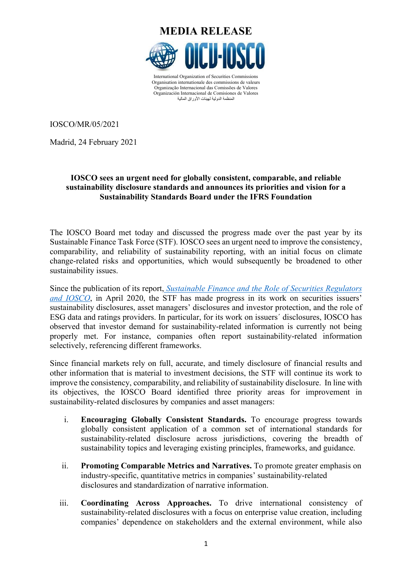

المنظمة الدولیة لمهیئات الأوراق المالیة

IOSCO/MR/05/2021

Madrid, 24 February 2021

# **IOSCO sees an urgent need for globally consistent, comparable, and reliable sustainability disclosure standards and announces its priorities and vision for a Sustainability Standards Board under the IFRS Foundation**

The IOSCO Board met today and discussed the progress made over the past year by its Sustainable Finance Task Force (STF). IOSCO sees an urgent need to improve the consistency, comparability, and reliability of sustainability reporting, with an initial focus on climate change-related risks and opportunities, which would subsequently be broadened to other sustainability issues.

Since the publication of its report, *[Sustainable Finance and the Role of Securities Regulators](https://www.iosco.org/library/pubdocs/pdf/IOSCOPD652.pdf)  [and IOSCO](https://www.iosco.org/library/pubdocs/pdf/IOSCOPD652.pdf)*, in April 2020, the STF has made progress in its work on securities issuers' sustainability disclosures, asset managers' disclosures and investor protection, and the role of ESG data and ratings providers. In particular, for its work on issuers´ disclosures, IOSCO has observed that investor demand for sustainability-related information is currently not being properly met. For instance, companies often report sustainability-related information selectively, referencing different frameworks.

Since financial markets rely on full, accurate, and timely disclosure of financial results and other information that is material to investment decisions, the STF will continue its work to improve the consistency, comparability, and reliability of sustainability disclosure. In line with its objectives, the IOSCO Board identified three priority areas for improvement in sustainability-related disclosures by companies and asset managers:

- i. **Encouraging Globally Consistent Standards.** To encourage progress towards globally consistent application of a common set of international standards for sustainability-related disclosure across jurisdictions, covering the breadth of sustainability topics and leveraging existing principles, frameworks, and guidance.
- ii. **Promoting Comparable Metrics and Narratives.** To promote greater emphasis on industry-specific, quantitative metrics in companies' sustainability-related disclosures and standardization of narrative information.
- iii. **Coordinating Across Approaches.** To drive international consistency of sustainability-related disclosures with a focus on enterprise value creation, including companies' dependence on stakeholders and the external environment, while also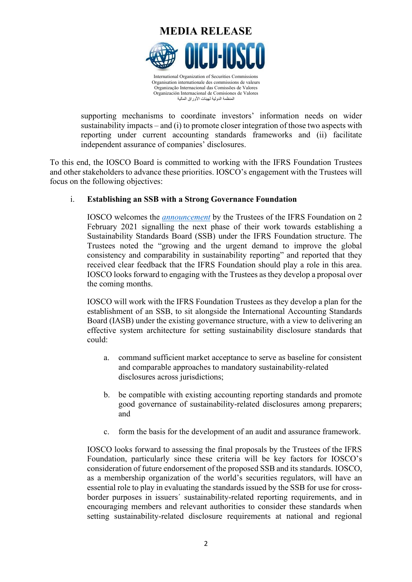

supporting mechanisms to coordinate investors' information needs on wider sustainability impacts – and (i) to promote closer integration of those two aspects with reporting under current accounting standards frameworks and (ii) facilitate independent assurance of companies' disclosures.

To this end, the IOSCO Board is committed to working with the IFRS Foundation Trustees and other stakeholders to advance these priorities. IOSCO's engagement with the Trustees will focus on the following objectives:

# i. **Establishing an SSB with a Strong Governance Foundation**

IOSCO welcomes the *[announcement](https://www.ifrs.org/news-and-events/2021/02/trustees-announce-next-steps-in-response-to-broad-demand-for-global-sustainability-standards/)* by the Trustees of the IFRS Foundation on 2 February 2021 signalling the next phase of their work towards establishing a Sustainability Standards Board (SSB) under the IFRS Foundation structure. The Trustees noted the "growing and the urgent demand to improve the global consistency and comparability in sustainability reporting" and reported that they received clear feedback that the IFRS Foundation should play a role in this area. IOSCO looks forward to engaging with the Trustees as they develop a proposal over the coming months.

IOSCO will work with the IFRS Foundation Trustees as they develop a plan for the establishment of an SSB, to sit alongside the International Accounting Standards Board (IASB) under the existing governance structure, with a view to delivering an effective system architecture for setting sustainability disclosure standards that could:

- a. command sufficient market acceptance to serve as baseline for consistent and comparable approaches to mandatory sustainability-related disclosures across jurisdictions;
- b. be compatible with existing accounting reporting standards and promote good governance of sustainability-related disclosures among preparers; and
- c. form the basis for the development of an audit and assurance framework.

IOSCO looks forward to assessing the final proposals by the Trustees of the IFRS Foundation, particularly since these criteria will be key factors for IOSCO's consideration of future endorsement of the proposed SSB and its standards. IOSCO, as a membership organization of the world's securities regulators, will have an essential role to play in evaluating the standards issued by the SSB for use for crossborder purposes in issuers´ sustainability-related reporting requirements, and in encouraging members and relevant authorities to consider these standards when setting sustainability-related disclosure requirements at national and regional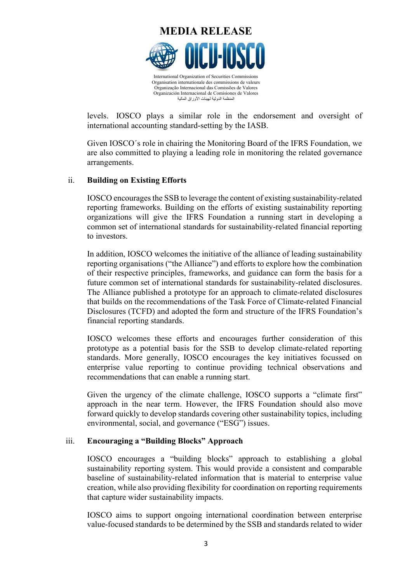

levels. IOSCO plays a similar role in the endorsement and oversight of international accounting standard-setting by the IASB.

Given IOSCO´s role in chairing the Monitoring Board of the IFRS Foundation, we are also committed to playing a leading role in monitoring the related governance arrangements.

### ii. **Building on Existing Efforts**

IOSCO encourages the SSB to leverage the content of existing sustainability-related reporting frameworks. Building on the efforts of existing sustainability reporting organizations will give the IFRS Foundation a running start in developing a common set of international standards for sustainability-related financial reporting to investors.

In addition, IOSCO welcomes the initiative of the alliance of leading sustainability reporting organisations ("the Alliance") and efforts to explore how the combination of their respective principles, frameworks, and guidance can form the basis for a future common set of international standards for sustainability-related disclosures. The Alliance published a prototype for an approach to climate-related disclosures that builds on the recommendations of the Task Force of Climate-related Financial Disclosures (TCFD) and adopted the form and structure of the IFRS Foundation's financial reporting standards.

IOSCO welcomes these efforts and encourages further consideration of this prototype as a potential basis for the SSB to develop climate-related reporting standards. More generally, IOSCO encourages the key initiatives focussed on enterprise value reporting to continue providing technical observations and recommendations that can enable a running start.

Given the urgency of the climate challenge, IOSCO supports a "climate first" approach in the near term. However, the IFRS Foundation should also move forward quickly to develop standards covering other sustainability topics, including environmental, social, and governance ("ESG") issues.

### iii. **Encouraging a "Building Blocks" Approach**

IOSCO encourages a "building blocks" approach to establishing a global sustainability reporting system. This would provide a consistent and comparable baseline of sustainability-related information that is material to enterprise value creation, while also providing flexibility for coordination on reporting requirements that capture wider sustainability impacts.

IOSCO aims to support ongoing international coordination between enterprise value-focused standards to be determined by the SSB and standards related to wider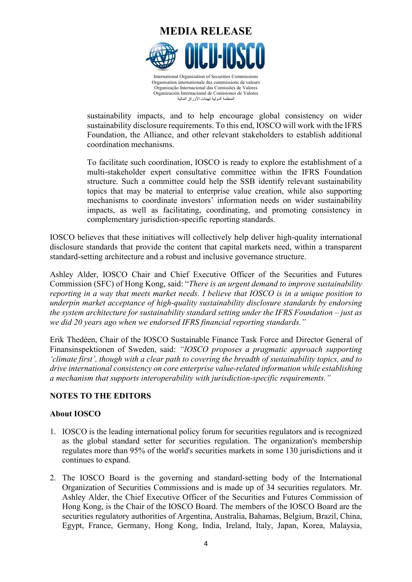

sustainability impacts, and to help encourage global consistency on wider sustainability disclosure requirements. To this end, IOSCO will work with the IFRS Foundation, the Alliance, and other relevant stakeholders to establish additional coordination mechanisms.

To facilitate such coordination, IOSCO is ready to explore the establishment of a multi-stakeholder expert consultative committee within the IFRS Foundation structure. Such a committee could help the SSB identify relevant sustainability topics that may be material to enterprise value creation, while also supporting mechanisms to coordinate investors' information needs on wider sustainability impacts, as well as facilitating, coordinating, and promoting consistency in complementary jurisdiction-specific reporting standards.

IOSCO believes that these initiatives will collectively help deliver high-quality international disclosure standards that provide the content that capital markets need, within a transparent standard-setting architecture and a robust and inclusive governance structure.

Ashley Alder, IOSCO Chair and Chief Executive Officer of the Securities and Futures Commission (SFC) of Hong Kong, said: "*There is an urgent demand to improve sustainability reporting in a way that meets market needs. I believe that IOSCO is in a unique position to underpin market acceptance of high-quality sustainability disclosure standards by endorsing the system architecture for sustainability standard setting under the IFRS Foundation – just as we did 20 years ago when we endorsed IFRS financial reporting standards."*

Erik Thedéen, Chair of the IOSCO Sustainable Finance Task Force and Director General of Finansinspektionen of Sweden, said: *"IOSCO proposes a pragmatic approach supporting 'climate first', though with a clear path to covering the breadth of sustainability topics, and to drive international consistency on core enterprise value-related information while establishing a mechanism that supports interoperability with jurisdiction-specific requirements."*

# **NOTES TO THE EDITORS**

# **About IOSCO**

- 1. IOSCO is the leading international policy forum for securities regulators and is recognized as the global standard setter for securities regulation. The organization's membership regulates more than 95% of the world's securities markets in some 130 jurisdictions and it continues to expand.
- 2. The IOSCO Board is the governing and standard-setting body of the International Organization of Securities Commissions and is made up of 34 securities regulators. Mr. Ashley Alder, the Chief Executive Officer of the Securities and Futures Commission of Hong Kong, is the Chair of the IOSCO Board. The members of the IOSCO Board are the securities regulatory authorities of Argentina, Australia, Bahamas, Belgium, Brazil, China, Egypt, France, Germany, Hong Kong, India, Ireland, Italy, Japan, Korea, Malaysia,